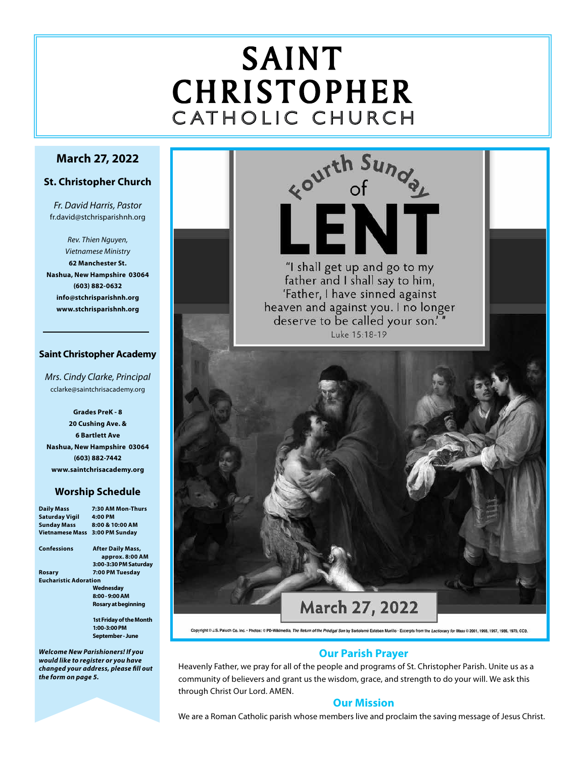# SAINT CHRISTOPHER C ATHOLIC CHURCH

## **March 27, 2022**

#### **St. Christopher Church**

*Fr. David Harris, Pastor* fr.david@stchrisparishnh.org

*Rev. Thien Nguyen, Vietnamese Ministry* **62 Manchester St. Nashua, New Hampshire 03064 (603) 882-0632 info@stchrisparishnh.org www.stchrisparishnh.org**

#### **Saint Christopher Academy**

*Mrs. Cindy Clarke, Principal* cclarke@saintchrisacademy.org

**Grades PreK - 8 20 Cushing Ave. & 6 Bartlett Ave Nashua, New Hampshire 03064 (603) 882-7442 www.saintchrisacademy.org**

#### **Worship Schedule**

| <b>Daily Mass</b>            | 7:30 AM Mon-Thurs              |  |
|------------------------------|--------------------------------|--|
| <b>Saturday Vigil</b>        | 4:00 PM                        |  |
| <b>Sunday Mass</b>           | 8:00 & 10:00 AM                |  |
| <b>Vietnamese Mass</b>       | 3:00 PM Sunday                 |  |
| Confessions                  | <b>After Daily Mass,</b>       |  |
|                              | approx. 8:00 AM                |  |
|                              | 3:00-3:30 PM Saturday          |  |
| Rosary                       | 7:00 PM Tuesday                |  |
| <b>Eucharistic Adoration</b> |                                |  |
|                              | Wednesday                      |  |
|                              | 8:00 - 9:00 AM                 |  |
|                              | Rosary at beginning            |  |
|                              | <b>1st Friday of the Month</b> |  |
|                              | 1:00-3:00 PM                   |  |
|                              | September - June               |  |

*Welcome New Parishioners! If you would like to register or you have changed your address, please fill out the form on page 5.*



Copyright © J.S. Paluch Co. Inc. - Photos: © PD-Wikimedia, The Return of the Prodigal Son by Bartolomé Esteban Murillo - Excerpts from the Lectionary for Mass © 2001, 1998, 1997, 1986, 1970, CCD.

## **Our Parish Prayer**

Heavenly Father, we pray for all of the people and programs of St. Christopher Parish. Unite us as a community of believers and grant us the wisdom, grace, and strength to do your will. We ask this through Christ Our Lord. AMEN.

## **Our Mission**

We are a Roman Catholic parish whose members live and proclaim the saving message of Jesus Christ.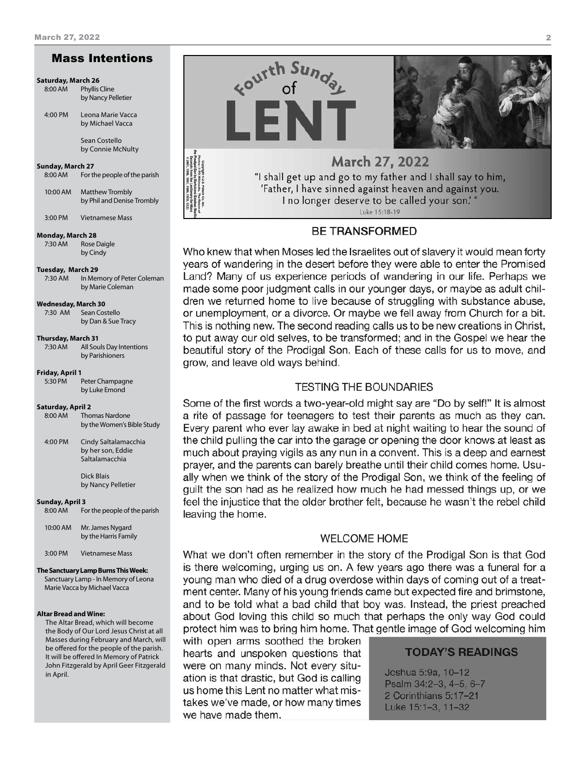#### Mass Intentions

#### **Saturday, March 26**

8:00 AM Phyllis Cline by Nancy Pelletier

4:00 PM Leona Marie Vacca by Michael Vacca

> Sean Costello by Connie McNulty

#### **Sunday, March 27**

| 8:00 AM | For the people of the parish |
|---------|------------------------------|
|         |                              |

10:00 AM Matthew Trombly by Phil and Denise Trombly

3:00 PM Vietnamese Mass

#### **Monday, March 28**

7:30 AM Rose Daigle by Cindy

#### **Tuesday, March 29**

7:30 AM In Memory of Peter Coleman by Marie Coleman

#### **Wednesday, March 30**

7:30 AM Sean Costello by Dan & Sue Tracy

#### **Thursday, March 31**

| 7:30 AM | <b>All Souls Day Intentions</b> |
|---------|---------------------------------|
|         | by Parishioners                 |

#### **Friday, April 1**

| 5:30 PM | Peter Champagne |
|---------|-----------------|
|         | by Luke Emond   |

#### **Saturday, April 2**

| <b>Thomas Nardone</b>      |  |
|----------------------------|--|
| by the Women's Bible Study |  |
|                            |  |

4:00 PM Cindy Saltalamacchia by her son, Eddie Saltalamacchia Dick Blais

by Nancy Pelletier

#### **Sunday, April 3**

| 8:00 AM  | For the people of the parish             |
|----------|------------------------------------------|
| 10:00 AM | Mr. James Nygard<br>by the Harris Family |
| 3:00 PM  | <b>Vietnamese Mass</b>                   |

#### **The Sanctuary Lamp Burns This Week:**

Sanctuary Lamp - In Memory of Leona Marie Vacca by Michael Vacca

#### **Altar Bread and Wine:**

The Altar Bread, which will become the Body of Our Lord Jesus Christ at all Masses during February and March, will be offered for the people of the parish. It will be offered In Memory of Patrick John Fitzgerald by April Geer Fitzgerald in April.



I no longer deserve to be called your son.'" Luke 15:18-19

**BE TRANSFORMED** 

Who knew that when Moses led the Israelites out of slavery it would mean forty years of wandering in the desert before they were able to enter the Promised Land? Many of us experience periods of wandering in our life. Perhaps we made some poor judgment calls in our younger days, or maybe as adult children we returned home to live because of struggling with substance abuse, or unemployment, or a divorce. Or maybe we fell away from Church for a bit. This is nothing new. The second reading calls us to be new creations in Christ, to put away our old selves, to be transformed; and in the Gospel we hear the beautiful story of the Prodigal Son. Each of these calls for us to move, and grow, and leave old ways behind.

#### **TESTING THE BOUNDARIES**

Some of the first words a two-year-old might say are "Do by self!" It is almost a rite of passage for teenagers to test their parents as much as they can. Every parent who ever lay awake in bed at night waiting to hear the sound of the child pulling the car into the garage or opening the door knows at least as much about praying vigils as any nun in a convent. This is a deep and earnest prayer, and the parents can barely breathe until their child comes home. Usually when we think of the story of the Prodigal Son, we think of the feeling of guilt the son had as he realized how much he had messed things up, or we feel the injustice that the older brother felt, because he wasn't the rebel child leaving the home.

#### **WELCOME HOME**

What we don't often remember in the story of the Prodigal Son is that God is there welcoming, urging us on. A few years ago there was a funeral for a young man who died of a drug overdose within days of coming out of a treatment center. Many of his young friends came but expected fire and brimstone, and to be told what a bad child that boy was. Instead, the priest preached about God loving this child so much that perhaps the only way God could protect him was to bring him home. That gentle image of God welcoming him

with open arms soothed the broken hearts and unspoken questions that were on many minds. Not every situation is that drastic, but God is calling us home this Lent no matter what mistakes we've made, or how many times we have made them.

#### **TODAY'S READINGS**

Joshua 5:9a, 10-12 Psalm 34:2-3, 4-5, 6-7 2 Corinthians 5:17-21 Luke 15:1-3, 11-32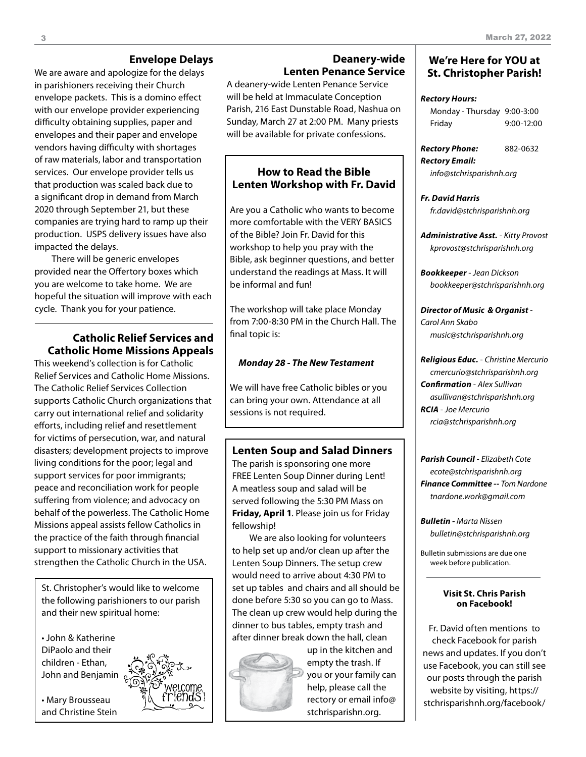#### **Envelope Delays**

We are aware and apologize for the delays in parishioners receiving their Church envelope packets. This is a domino effect with our envelope provider experiencing difficulty obtaining supplies, paper and envelopes and their paper and envelope vendors having difficulty with shortages of raw materials, labor and transportation services. Our envelope provider tells us that production was scaled back due to a significant drop in demand from March 2020 through September 21, but these companies are trying hard to ramp up their production. USPS delivery issues have also impacted the delays.

There will be generic envelopes provided near the Offertory boxes which you are welcome to take home. We are hopeful the situation will improve with each cycle. Thank you for your patience.

#### **Catholic Relief Services and Catholic Home Missions Appeals**

This weekend's collection is for Catholic Relief Services and Catholic Home Missions. The Catholic Relief Services Collection supports Catholic Church organizations that carry out international relief and solidarity efforts, including relief and resettlement for victims of persecution, war, and natural disasters; development projects to improve living conditions for the poor; legal and support services for poor immigrants; peace and reconciliation work for people suffering from violence; and advocacy on behalf of the powerless. The Catholic Home Missions appeal assists fellow Catholics in the practice of the faith through financial support to missionary activities that strengthen the Catholic Church in the USA.

St. Christopher's would like to welcome the following parishioners to our parish and their new spiritual home:

• John & Katherine DiPaolo and their children - Ethan, John and Benjamin

• Mary Brousseau and Christine Stein

## **Deanery-wide Lenten Penance Service**

A deanery-wide Lenten Penance Service will be held at Immaculate Conception Parish, 216 East Dunstable Road, Nashua on Sunday, March 27 at 2:00 PM. Many priests will be available for private confessions.

## **How to Read the Bible Lenten Workshop with Fr. David**

Are you a Catholic who wants to become more comfortable with the VERY BASICS of the Bible? Join Fr. David for this workshop to help you pray with the Bible, ask beginner questions, and better understand the readings at Mass. It will be informal and fun!

The workshop will take place Monday from 7:00-8:30 PM in the Church Hall. The final topic is:

## *Monday 28 - The New Testament*

We will have free Catholic bibles or you can bring your own. Attendance at all sessions is not required.

## **Lenten Soup and Salad Dinners**

The parish is sponsoring one more FREE Lenten Soup Dinner during Lent! A meatless soup and salad will be served following the 5:30 PM Mass on **Friday, April 1**. Please join us for Friday fellowship!

We are also looking for volunteers to help set up and/or clean up after the Lenten Soup Dinners. The setup crew would need to arrive about 4:30 PM to set up tables and chairs and all should be done before 5:30 so you can go to Mass. The clean up crew would help during the dinner to bus tables, empty trash and after dinner break down the hall, clean



riends!

up in the kitchen and empty the trash. If you or your family can help, please call the rectory or email info@ stchrisparishn.org.

## **We're Here for YOU at St. Christopher Parish!**

#### *Rectory Hours:*

Monday - Thursday 9:00-3:00 Friday 9:00-12:00

*Rectory Phone:* 882-0632 *Rectory Email:*

*info@stchrisparishnh.org*

*Fr. David Harris fr.david@stchrisparishnh.org*

*Administrative Asst.* - *Kitty Provost kprovost@stchrisparishnh.org*

*Bookkeeper* - *Jean Dickson bookkeeper@stchrisparishnh.org*

#### *Director of Music & Organist* -

*Carol Ann Skabo music@stchrisparishnh.org*

#### *Religious Educ.* - *Christine Mercurio*

*cmercurio@stchrisparishnh.org Confirmation* - *Alex Sullivan asullivan@stchrisparishnh.org RCIA* - *Joe Mercurio rcia@stchrisparishnh.org*

*Parish Council* - *Elizabeth Cote ecote@stchrisparishnh.org Finance Committee -- Tom Nardone tnardone.work@gmail.com*

*Bulletin - Marta Nissen bulletin@stchrisparishnh.org*

Bulletin submissions are due one week before publication.

#### **Visit St. Chris Parish on Facebook!**

Fr. David often mentions to check Facebook for parish news and updates. If you don't use Facebook, you can still see our posts through the parish website by visiting, https:// stchrisparishnh.org/facebook/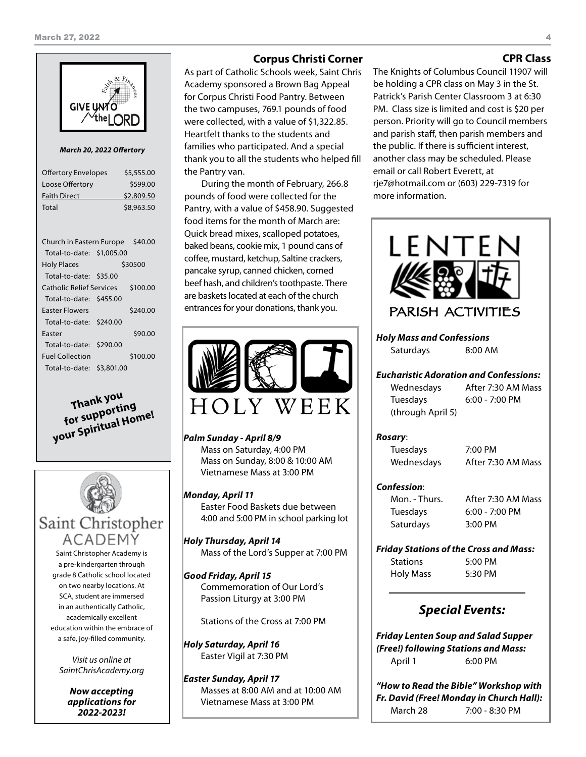

#### *March 20, 2022 Offertory*

| Offertory Envelopes<br>Loose Offertory<br><b>Faith Direct</b><br>Total |          | \$5,555.00<br>\$599.00<br>\$2,809.50<br>\$8,963.50 |
|------------------------------------------------------------------------|----------|----------------------------------------------------|
| Church in Eastern Europe<br>Total-to-date: \$1,005.00                  |          | \$40.00                                            |
| <b>Holy Places</b>                                                     |          | \$30500                                            |
| Total-to-date: \$35.00                                                 |          |                                                    |
| <b>Catholic Relief Services</b>                                        |          | \$100.00                                           |
| Total-to-date: \$455.00                                                |          |                                                    |
| <b>Faster Flowers</b>                                                  |          | \$240.00                                           |
| Total-to-date: \$240.00                                                |          |                                                    |
| Faster                                                                 |          | \$90.00                                            |
| Total-to-date:                                                         | \$290.00 |                                                    |
| <b>Fuel Collection</b>                                                 |          | \$100.00                                           |
| Total-to-date: \$3,801.00                                              |          |                                                    |

**Thank you for supporting your Spiritual Home!**



Saint Christopher Academy is a pre-kindergarten through grade 8 Catholic school located on two nearby locations. At SCA, student are immersed in an authentically Catholic, academically excellent education within the embrace of a safe, joy-filled community.

*Visit us online at SaintChrisAcademy.org*

> *Now accepting applications for 2022-2023!*

#### **Corpus Christi Corner**

As part of Catholic Schools week, Saint Chris Academy sponsored a Brown Bag Appeal for Corpus Christi Food Pantry. Between the two campuses, 769.1 pounds of food were collected, with a value of \$1,322.85. Heartfelt thanks to the students and families who participated. And a special thank you to all the students who helped fill the Pantry van.

During the month of February, 266.8 pounds of food were collected for the Pantry, with a value of \$458.90. Suggested food items for the month of March are: Quick bread mixes, scalloped potatoes, baked beans, cookie mix, 1 pound cans of coffee, mustard, ketchup, Saltine crackers, pancake syrup, canned chicken, corned beef hash, and children's toothpaste. There are baskets located at each of the church entrances for your donations, thank you.



*Palm Sunday - April 8/9* Mass on Saturday, 4:00 PM Mass on Sunday, 8:00 & 10:00 AM Vietnamese Mass at 3:00 PM

#### *Monday, April 11*

Easter Food Baskets due between 4:00 and 5:00 PM in school parking lot

*Holy Thursday, April 14* Mass of the Lord's Supper at 7:00 PM

*Good Friday, April 15* Commemoration of Our Lord's Passion Liturgy at 3:00 PM

Stations of the Cross at 7:00 PM

*Holy Saturday, April 16* Easter Vigil at 7:30 PM

*Easter Sunday, April 17* Masses at 8:00 AM and at 10:00 AM Vietnamese Mass at 3:00 PM

## **CPR Class**

The Knights of Columbus Council 11907 will be holding a CPR class on May 3 in the St. Patrick's Parish Center Classroom 3 at 6:30 PM. Class size is limited and cost is \$20 per person. Priority will go to Council members and parish staff, then parish members and the public. If there is sufficient interest, another class may be scheduled. Please email or call Robert Everett, at rje7@hotmail.com or (603) 229-7319 for more information.



*Friday Lenten Soup and Salad Supper (Free!) following Stations and Mass:* April 1 6:00 PM

*"How to Read the Bible" Workshop with Fr. David (Free! Monday in Church Hall):* March 28 7:00 - 8:30 PM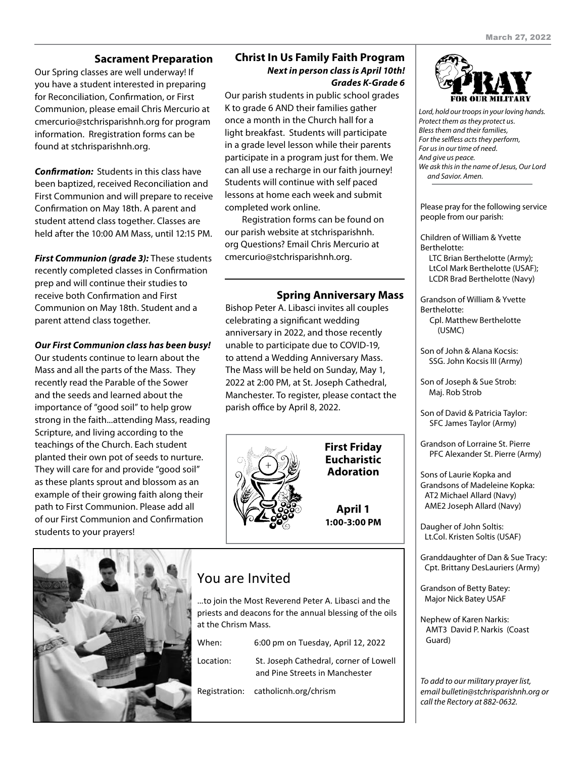#### **Sacrament Preparation**

Our Spring classes are well underway! If you have a student interested in preparing for Reconciliation, Confirmation, or First Communion, please email Chris Mercurio at cmercurio@stchrisparishnh.org for program information. Rregistration forms can be found at stchrisparishnh.org.

*Confirmation:* Students in this class have been baptized, received Reconciliation and First Communion and will prepare to receive Confirmation on May 18th. A parent and student attend class together. Classes are held after the 10:00 AM Mass, until 12:15 PM.

*First Communion (grade 3):* These students recently completed classes in Confirmation prep and will continue their studies to receive both Confirmation and First Communion on May 18th. Student and a parent attend class together.

#### *Our First Communion class has been busy!*

Our students continue to learn about the Mass and all the parts of the Mass. They recently read the Parable of the Sower and the seeds and learned about the importance of "good soil" to help grow strong in the faith...attending Mass, reading Scripture, and living according to the teachings of the Church. Each student planted their own pot of seeds to nurture. They will care for and provide "good soil" as these plants sprout and blossom as an example of their growing faith along their path to First Communion. Please add all of our First Communion and Confirmation students to your prayers!

#### **Christ In Us Family Faith Program**  *Next in person class is April 10th! Grades K-Grade 6*

Our parish students in public school grades K to grade 6 AND their families gather once a month in the Church hall for a light breakfast. Students will participate in a grade level lesson while their parents participate in a program just for them. We can all use a recharge in our faith journey! Students will continue with self paced lessons at home each week and submit completed work online.

Registration forms can be found on our parish website at stchrisparishnh. org Questions? Email Chris Mercurio at cmercurio@stchrisparishnh.org.

#### **Spring Anniversary Mass**

Bishop Peter A. Libasci invites all couples celebrating a significant wedding anniversary in 2022, and those recently unable to participate due to COVID-19, to attend a Wedding Anniversary Mass. The Mass will be held on Sunday, May 1, 2022 at 2:00 PM, at St. Joseph Cathedral, Manchester. To register, please contact the parish office by April 8, 2022.



**Eucharistic Adoration**

**First Friday**

**April 1 1:00-3:00 PM**



# You are Invited

…to join the Most Reverend Peter A. Libasci and the priests and deacons for the annual blessing of the oils at the Chrism Mass.

| When:     | 6:00 pm on Tuesday, April 12, 2022                                       |
|-----------|--------------------------------------------------------------------------|
| Location: | St. Joseph Cathedral, corner of Lowell<br>and Pine Streets in Manchester |
|           | Registration: catholicnh.org/chrism                                      |



*Lord, hold our troops in your loving hands. Protect them as they protect us. Bless them and their families, For the selfless acts they perform, For us in our time of need. And give us peace. We ask this in the name of Jesus, Our Lord and Savior. Amen.*

Please pray for the following service people from our parish:

Children of William & Yvette Berthelotte:

LTC Brian Berthelotte (Army); LtCol Mark Berthelotte (USAF); LCDR Brad Berthelotte (Navy)

Grandson of William & Yvette Berthelotte: Cpl. Matthew Berthelotte (USMC)

Son of John & Alana Kocsis: SSG. John Kocsis III (Army)

Son of Joseph & Sue Strob: Maj. Rob Strob

Son of David & Patricia Taylor: SFC James Taylor (Army)

Grandson of Lorraine St. Pierre PFC Alexander St. Pierre (Army)

Sons of Laurie Kopka and Grandsons of Madeleine Kopka: AT2 Michael Allard (Navy) AME2 Joseph Allard (Navy)

Daugher of John Soltis: Lt.Col. Kristen Soltis (USAF)

Granddaughter of Dan & Sue Tracy: Cpt. Brittany DesLauriers (Army)

Grandson of Betty Batey: Major Nick Batey USAF

Nephew of Karen Narkis: AMT3 David P. Narkis (Coast Guard)

*To add to our military prayer list, email bulletin@stchrisparishnh.org or call the Rectory at 882-0632.*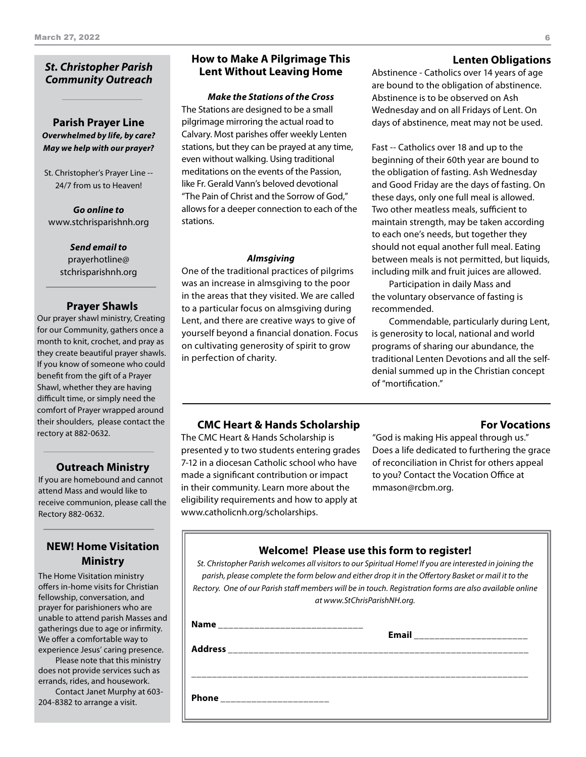#### *St. Christopher Parish Community Outreach*

#### **Parish Prayer Line** *Overwhelmed by life, by care? May we help with our prayer?*

St. Christopher's Prayer Line -- 24/7 from us to Heaven!

*Go online to* www.stchrisparishnh.org

> *Send email to* prayerhotline@ stchrisparishnh.org

#### **Prayer Shawls**

Our prayer shawl ministry, Creating for our Community, gathers once a month to knit, crochet, and pray as they create beautiful prayer shawls. If you know of someone who could benefit from the gift of a Prayer Shawl, whether they are having difficult time, or simply need the comfort of Prayer wrapped around their shoulders, please contact the rectory at 882-0632.

#### **Outreach Ministry**

If you are homebound and cannot attend Mass and would like to receive communion, please call the Rectory 882-0632.

## **NEW! Home Visitation Ministry**

The Home Visitation ministry offers in-home visits for Christian fellowship, conversation, and prayer for parishioners who are unable to attend parish Masses and gatherings due to age or infirmity. We offer a comfortable way to experience Jesus' caring presence.

Please note that this ministry does not provide services such as errands, rides, and housework.

Contact Janet Murphy at 603- 204-8382 to arrange a visit.

## **How to Make A Pilgrimage This Lent Without Leaving Home**

#### *Make the Stations of the Cross*

The Stations are designed to be a small pilgrimage mirroring the actual road to Calvary. Most parishes offer weekly Lenten stations, but they can be prayed at any time, even without walking. Using traditional meditations on the events of the Passion, like Fr. Gerald Vann's beloved devotional "The Pain of Christ and the Sorrow of God," allows for a deeper connection to each of the stations.

#### *Almsgiving*

One of the traditional practices of pilgrims was an increase in almsgiving to the poor in the areas that they visited. We are called to a particular focus on almsgiving during Lent, and there are creative ways to give of yourself beyond a financial donation. Focus on cultivating generosity of spirit to grow in perfection of charity.

#### **Lenten Obligations**

Abstinence - Catholics over 14 years of age are bound to the obligation of abstinence. Abstinence is to be observed on Ash Wednesday and on all Fridays of Lent. On days of abstinence, meat may not be used.

Fast -- Catholics over 18 and up to the beginning of their 60th year are bound to the obligation of fasting. Ash Wednesday and Good Friday are the days of fasting. On these days, only one full meal is allowed. Two other meatless meals, sufficient to maintain strength, may be taken according to each one's needs, but together they should not equal another full meal. Eating between meals is not permitted, but liquids, including milk and fruit juices are allowed.

Participation in daily Mass and the voluntary observance of fasting is recommended.

Commendable, particularly during Lent, is generosity to local, national and world programs of sharing our abundance, the traditional Lenten Devotions and all the selfdenial summed up in the Christian concept of "mortification."

#### **CMC Heart & Hands Scholarship**

The CMC Heart & Hands Scholarship is presented y to two students entering grades 7-12 in a diocesan Catholic school who have made a significant contribution or impact in their community. Learn more about the eligibility requirements and how to apply at www.catholicnh.org/scholarships.

#### **For Vocations**

"God is making His appeal through us." Does a life dedicated to furthering the grace of reconciliation in Christ for others appeal to you? Contact the Vocation Office at mmason@rcbm.org.

#### **Welcome! Please use this form to register!**

*St. Christopher Parish welcomes all visitors to our Spiritual Home! If you are interested in joining the parish, please complete the form below and either drop it in the Offertory Basket or mail it to the Rectory. One of our Parish staff members will be in touch. Registration forms are also available online at www.StChrisParishNH.org.*

| <b>Name</b><br>______________________________ | Email __________________________ |
|-----------------------------------------------|----------------------------------|
| <b>Address</b>                                |                                  |
|                                               |                                  |
| Phone ____________________                    |                                  |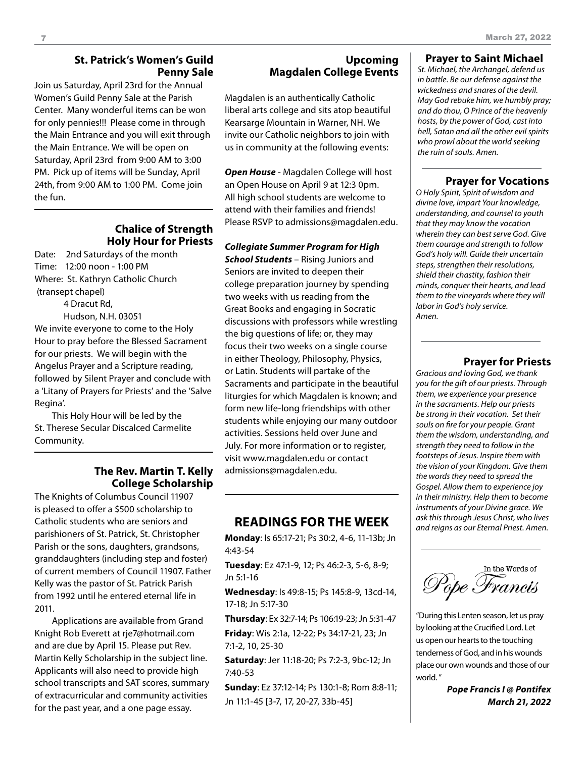#### **St. Patrick's Women's Guild Penny Sale**

Join us Saturday, April 23rd for the Annual Women's Guild Penny Sale at the Parish Center. Many wonderful items can be won for only pennies!!! Please come in through the Main Entrance and you will exit through the Main Entrance. We will be open on Saturday, April 23rd from 9:00 AM to 3:00 PM. Pick up of items will be Sunday, April 24th, from 9:00 AM to 1:00 PM. Come join the fun.

## **Chalice of Strength Holy Hour for Priests**

Date: 2nd Saturdays of the month Time: 12:00 noon - 1:00 PM Where: St. Kathryn Catholic Church (transept chapel)

4 Dracut Rd,

Hudson, N.H. 03051

We invite everyone to come to the Holy Hour to pray before the Blessed Sacrament for our priests. We will begin with the Angelus Prayer and a Scripture reading, followed by Silent Prayer and conclude with a 'Litany of Prayers for Priests' and the 'Salve Regina'.

This Holy Hour will be led by the St. Therese Secular Discalced Carmelite Community.

## **The Rev. Martin T. Kelly** admissions@magdalen.edu. **College Scholarship**

The Knights of Columbus Council 11907 is pleased to offer a \$500 scholarship to Catholic students who are seniors and parishioners of St. Patrick, St. Christopher Parish or the sons, daughters, grandsons, granddaughters (including step and foster) of current members of Council 11907. Father Kelly was the pastor of St. Patrick Parish from 1992 until he entered eternal life in 2011.

Applications are available from Grand Knight Rob Everett at rje7@hotmail.com and are due by April 15. Please put Rev. Martin Kelly Scholarship in the subject line. Applicants will also need to provide high school transcripts and SAT scores, summary of extracurricular and community activities for the past year, and a one page essay.

### **Upcoming Magdalen College Events**

Magdalen is an authentically Catholic liberal arts college and sits atop beautiful Kearsarge Mountain in Warner, NH. We invite our Catholic neighbors to join with us in community at the following events:

*Open House* - Magdalen College will host an Open House on April 9 at 12:3 0pm. All high school students are welcome to attend with their families and friends! Please RSVP to admissions@magdalen.edu.

*Collegiate Summer Program for High School Students* – Rising Juniors and Seniors are invited to deepen their college preparation journey by spending two weeks with us reading from the Great Books and engaging in Socratic discussions with professors while wrestling the big questions of life; or, they may focus their two weeks on a single course in either Theology, Philosophy, Physics, or Latin. Students will partake of the Sacraments and participate in the beautiful liturgies for which Magdalen is known; and form new life-long friendships with other students while enjoying our many outdoor activities. Sessions held over June and July. For more information or to register, visit www.magdalen.edu or contact

## *and reigns as our Eternal Priest. Amen.* **READINGS FOR THE WEEK**

**Monday**: Is 65:17-21; Ps 30:2, 4-6, 11-13b; Jn 4:43-54

**Tuesday**: Ez 47:1-9, 12; Ps 46:2-3, 5-6, 8-9; Jn 5:1-16

**Wednesday**: Is 49:8-15; Ps 145:8-9, 13cd-14, 17-18; Jn 5:17-30

**Thursday**: Ex 32:7-14; Ps 106:19-23; Jn 5:31-47 **Friday**: Wis 2:1a, 12-22; Ps 34:17-21, 23; Jn 7:1-2, 10, 25-30

**Saturday**: Jer 11:18-20; Ps 7:2-3, 9bc-12; Jn 7:40-53

**Sunday**: Ez 37:12-14; Ps 130:1-8; Rom 8:8-11; Jn 11:1-45 [3-7, 17, 20-27, 33b-45]

#### **Prayer to Saint Michael**

*St. Michael, the Archangel, defend us in battle. Be our defense against the wickedness and snares of the devil. May God rebuke him, we humbly pray; and do thou, O Prince of the heavenly hosts, by the power of God, cast into hell, Satan and all the other evil spirits who prowl about the world seeking the ruin of souls. Amen.*

## **Prayer for Vocations**

*O Holy Spirit, Spirit of wisdom and divine love, impart Your knowledge, understanding, and counsel to youth that they may know the vocation wherein they can best serve God. Give them courage and strength to follow God's holy will. Guide their uncertain steps, strengthen their resolutions, shield their chastity, fashion their minds, conquer their hearts, and lead them to the vineyards where they will labor in God's holy service. Amen.*

## **Prayer for Priests**

*Gracious and loving God, we thank you for the gift of our priests. Through them, we experience your presence in the sacraments. Help our priests be strong in their vocation. Set their souls on fire for your people. Grant them the wisdom, understanding, and strength they need to follow in the footsteps of Jesus. Inspire them with the vision of your Kingdom. Give them the words they need to spread the Gospel. Allow them to experience joy in their ministry. Help them to become instruments of your Divine grace. We ask this through Jesus Christ, who lives* 

In the Words of Pope Francis

"During this Lenten season, let us pray by looking at the Crucified Lord. Let us open our hearts to the touching tenderness of God, and in his wounds place our own wounds and those of our world. "

> *Pope Francis I @ Pontifex March 21, 2022*